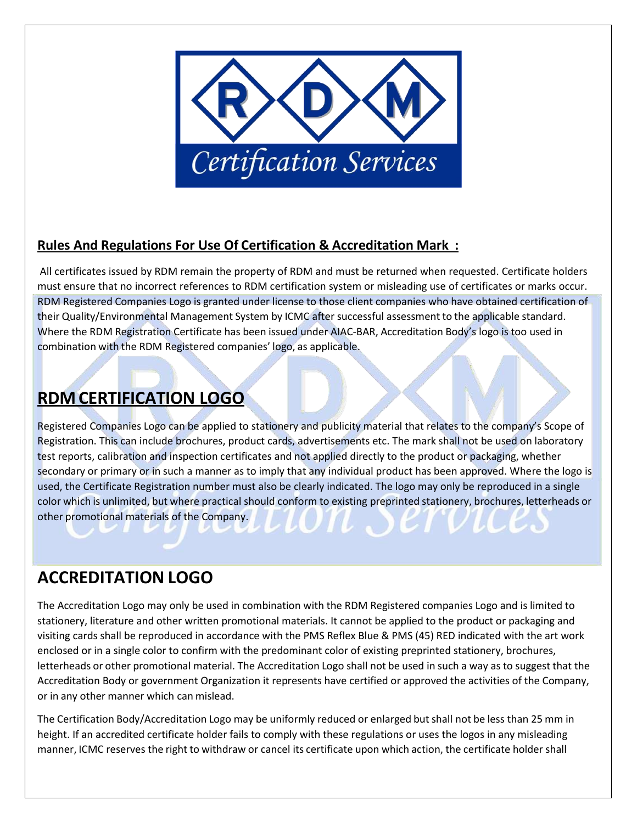

## **Rules And Regulations For Use Of Certification & Accreditation Mark :**

All certificates issued by RDM remain the property of RDM and must be returned when requested. Certificate holders must ensure that no incorrect references to RDM certification system or misleading use of certificates or marks occur. RDM Registered Companies Logo is granted under license to those client companies who have obtained certification of their Quality/Environmental Management System by ICMC after successful assessment to the applicable standard. Where the RDM Registration Certificate has been issued under AIAC-BAR, Accreditation Body's logo is too used in combination with the RDM Registered companies' logo, as applicable.

## **RDMCERTIFICATION LOGO**

Registered Companies Logo can be applied to stationery and publicity material that relates to the company's Scope of Registration. This can include brochures, product cards, advertisements etc. The mark shall not be used on laboratory test reports, calibration and inspection certificates and not applied directly to the product or packaging, whether secondary or primary or in such a manner as to imply that any individual product has been approved. Where the logo is used, the Certificate Registration number must also be clearly indicated. The logo may only be reproduced in a single color which is unlimited, but where practical should conform to existing preprinted stationery, brochures, letterheads or other promotional materials of the Company.

## **ACCREDITATION LOGO**

The Accreditation Logo may only be used in combination with the RDM Registered companies Logo and is limited to stationery, literature and other written promotional materials. It cannot be applied to the product or packaging and visiting cards shall be reproduced in accordance with the PMS Reflex Blue & PMS (45) RED indicated with the art work enclosed or in a single color to confirm with the predominant color of existing preprinted stationery, brochures, letterheads or other promotional material. The Accreditation Logo shall not be used in such a way as to suggest that the Accreditation Body or government Organization it represents have certified or approved the activities of the Company, or in any other manner which can mislead.

The Certification Body/Accreditation Logo may be uniformly reduced or enlarged butshall not be less than 25 mm in height. If an accredited certificate holder fails to comply with these regulations or uses the logos in any misleading manner, ICMC reserves the right to withdraw or cancel its certificate upon which action, the certificate holder shall